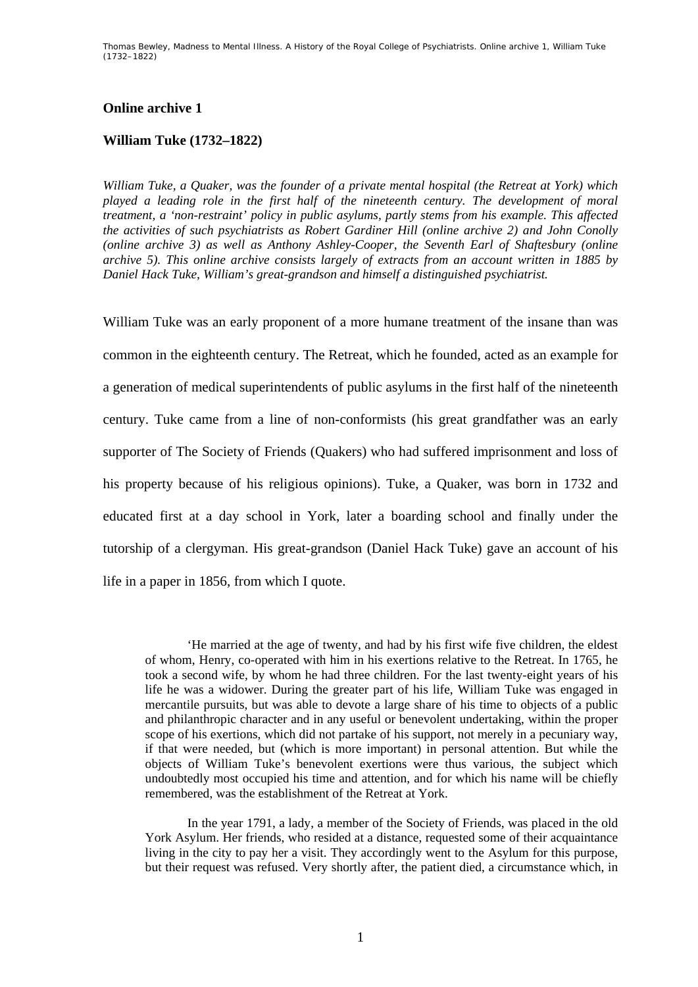Thomas Bewley, *Madness to Mental Illness. A History of the Royal College of Psychiatrists.* Online archive 1, *William Tuke (1732–1822)* 

## **Online archive 1**

## **William Tuke (1732–1822)**

*William Tuke, a Quaker, was the founder of a private mental hospital (the Retreat at York) which played a leading role in the first half of the nineteenth century. The development of moral treatment, a 'non-restraint' policy in public asylums, partly stems from his example. This affected the activities of such psychiatrists as Robert Gardiner Hill (online archive 2) and John Conolly (online archive 3) as well as Anthony Ashley-Cooper, the Seventh Earl of Shaftesbury (online archive 5). This online archive consists largely of extracts from an account written in 1885 by Daniel Hack Tuke, William's great-grandson and himself a distinguished psychiatrist.* 

William Tuke was an early proponent of a more humane treatment of the insane than was common in the eighteenth century. The Retreat, which he founded, acted as an example for a generation of medical superintendents of public asylums in the first half of the nineteenth century. Tuke came from a line of non-conformists (his great grandfather was an early supporter of The Society of Friends (Quakers) who had suffered imprisonment and loss of his property because of his religious opinions). Tuke, a Quaker, was born in 1732 and educated first at a day school in York, later a boarding school and finally under the tutorship of a clergyman. His great-grandson (Daniel Hack Tuke) gave an account of his life in a paper in 1856, from which I quote.

'He married at the age of twenty, and had by his first wife five children, the eldest of whom, Henry, co-operated with him in his exertions relative to the Retreat. In 1765, he took a second wife, by whom he had three children. For the last twenty-eight years of his life he was a widower. During the greater part of his life, William Tuke was engaged in mercantile pursuits, but was able to devote a large share of his time to objects of a public and philanthropic character and in any useful or benevolent undertaking, within the proper scope of his exertions, which did not partake of his support, not merely in a pecuniary way, if that were needed, but (which is more important) in personal attention. But while the objects of William Tuke's benevolent exertions were thus various, the subject which undoubtedly most occupied his time and attention, and for which his name will be chiefly remembered, was the establishment of the Retreat at York.

In the year 1791, a lady, a member of the Society of Friends, was placed in the old York Asylum. Her friends, who resided at a distance, requested some of their acquaintance living in the city to pay her a visit. They accordingly went to the Asylum for this purpose, but their request was refused. Very shortly after, the patient died, a circumstance which, in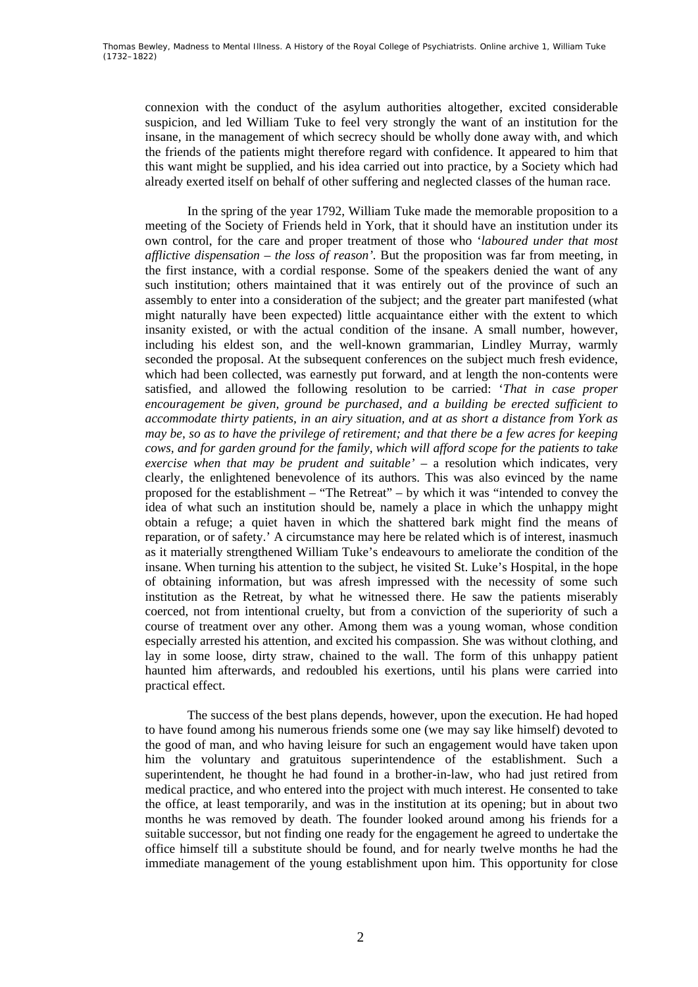connexion with the conduct of the asylum authorities altogether, excited considerable suspicion, and led William Tuke to feel very strongly the want of an institution for the insane, in the management of which secrecy should be wholly done away with, and which the friends of the patients might therefore regard with confidence. It appeared to him that this want might be supplied, and his idea carried out into practice, by a Society which had already exerted itself on behalf of other suffering and neglected classes of the human race.

In the spring of the year 1792, William Tuke made the memorable proposition to a meeting of the Society of Friends held in York, that it should have an institution under its own control, for the care and proper treatment of those who '*laboured under that most afflictive dispensation – the loss of reason'*. But the proposition was far from meeting, in the first instance, with a cordial response. Some of the speakers denied the want of any such institution; others maintained that it was entirely out of the province of such an assembly to enter into a consideration of the subject; and the greater part manifested (what might naturally have been expected) little acquaintance either with the extent to which insanity existed, or with the actual condition of the insane. A small number, however, including his eldest son, and the well-known grammarian, Lindley Murray, warmly seconded the proposal. At the subsequent conferences on the subject much fresh evidence, which had been collected, was earnestly put forward, and at length the non-contents were satisfied, and allowed the following resolution to be carried: '*That in case proper encouragement be given, ground be purchased, and a building be erected sufficient to accommodate thirty patients, in an airy situation, and at as short a distance from York as may be, so as to have the privilege of retirement; and that there be a few acres for keeping cows, and for garden ground for the family, which will afford scope for the patients to take exercise when that may be prudent and suitable' –* a resolution which indicates, very clearly, the enlightened benevolence of its authors. This was also evinced by the name proposed for the establishment – "The Retreat" – by which it was "intended to convey the idea of what such an institution should be, namely a place in which the unhappy might obtain a refuge; a quiet haven in which the shattered bark might find the means of reparation, or of safety.' A circumstance may here be related which is of interest, inasmuch as it materially strengthened William Tuke's endeavours to ameliorate the condition of the insane. When turning his attention to the subject, he visited St. Luke's Hospital, in the hope of obtaining information, but was afresh impressed with the necessity of some such institution as the Retreat, by what he witnessed there. He saw the patients miserably coerced, not from intentional cruelty, but from a conviction of the superiority of such a course of treatment over any other. Among them was a young woman, whose condition especially arrested his attention, and excited his compassion. She was without clothing, and lay in some loose, dirty straw, chained to the wall. The form of this unhappy patient haunted him afterwards, and redoubled his exertions, until his plans were carried into practical effect.

The success of the best plans depends, however, upon the execution. He had hoped to have found among his numerous friends some one (we may say like himself) devoted to the good of man, and who having leisure for such an engagement would have taken upon him the voluntary and gratuitous superintendence of the establishment. Such a superintendent, he thought he had found in a brother-in-law, who had just retired from medical practice, and who entered into the project with much interest. He consented to take the office, at least temporarily, and was in the institution at its opening; but in about two months he was removed by death. The founder looked around among his friends for a suitable successor, but not finding one ready for the engagement he agreed to undertake the office himself till a substitute should be found, and for nearly twelve months he had the immediate management of the young establishment upon him. This opportunity for close